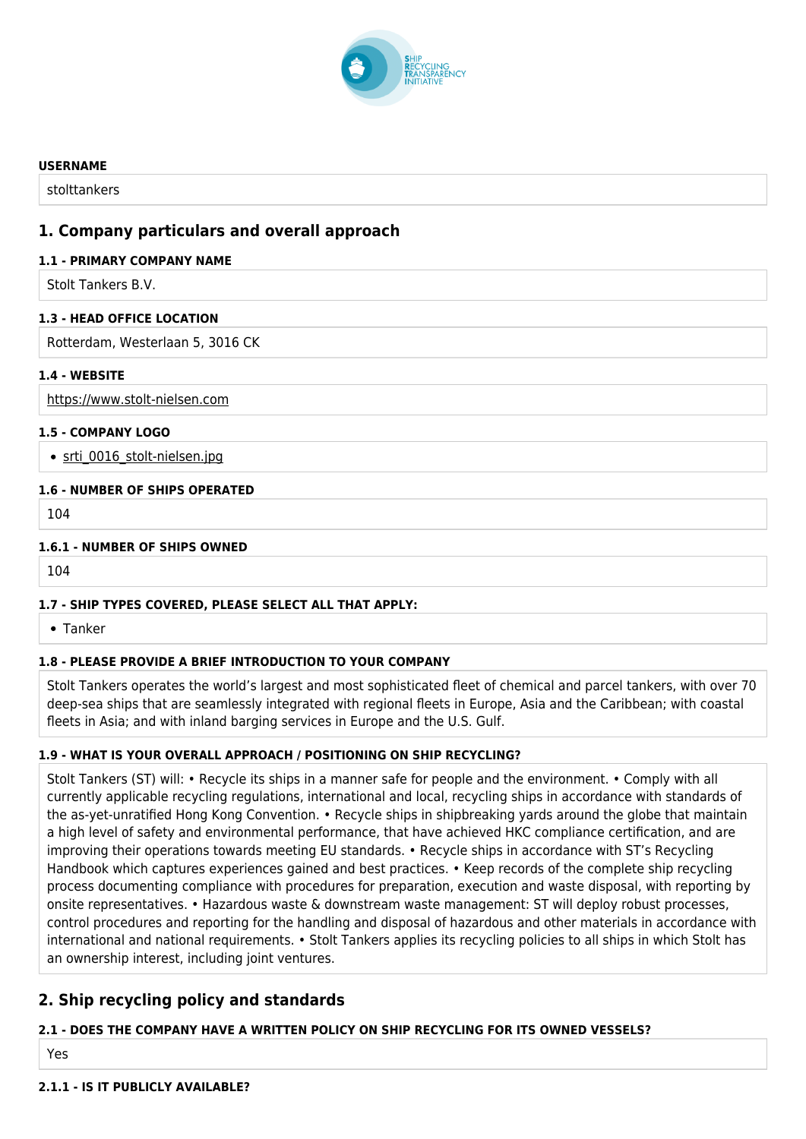

#### **USERNAME**

stolttankers

# **1. Company particulars and overall approach**

#### **1.1 - PRIMARY COMPANY NAME**

Stolt Tankers B.V.

#### **1.3 - HEAD OFFICE LOCATION**

Rotterdam, Westerlaan 5, 3016 CK

#### **1.4 - WEBSITE**

<https://www.stolt-nielsen.com>

#### **1.5 - COMPANY LOGO**

• [srti\\_0016\\_stolt-nielsen.jpg](http://www.shiprecyclingtransparency.org/wp-content/uploads/gravity_forms/1-90ab26b4ee552bd8919070d84c2cb61a/2020/10/srti_0016_stolt-nielsen.jpg)

#### **1.6 - NUMBER OF SHIPS OPERATED**

104

#### **1.6.1 - NUMBER OF SHIPS OWNED**

104

# **1.7 - SHIP TYPES COVERED, PLEASE SELECT ALL THAT APPLY:**

Tanker

# **1.8 - PLEASE PROVIDE A BRIEF INTRODUCTION TO YOUR COMPANY**

Stolt Tankers operates the world's largest and most sophisticated fleet of chemical and parcel tankers, with over 70 deep-sea ships that are seamlessly integrated with regional fleets in Europe, Asia and the Caribbean; with coastal fleets in Asia; and with inland barging services in Europe and the U.S. Gulf.

# **1.9 - WHAT IS YOUR OVERALL APPROACH / POSITIONING ON SHIP RECYCLING?**

Stolt Tankers (ST) will: • Recycle its ships in a manner safe for people and the environment. • Comply with all currently applicable recycling regulations, international and local, recycling ships in accordance with standards of the as-yet-unratified Hong Kong Convention. • Recycle ships in shipbreaking yards around the globe that maintain a high level of safety and environmental performance, that have achieved HKC compliance certification, and are improving their operations towards meeting EU standards. • Recycle ships in accordance with ST's Recycling Handbook which captures experiences gained and best practices. • Keep records of the complete ship recycling process documenting compliance with procedures for preparation, execution and waste disposal, with reporting by onsite representatives. • Hazardous waste & downstream waste management: ST will deploy robust processes, control procedures and reporting for the handling and disposal of hazardous and other materials in accordance with international and national requirements. • Stolt Tankers applies its recycling policies to all ships in which Stolt has an ownership interest, including joint ventures.

# **2. Ship recycling policy and standards**

# **2.1 - DOES THE COMPANY HAVE A WRITTEN POLICY ON SHIP RECYCLING FOR ITS OWNED VESSELS?**

Yes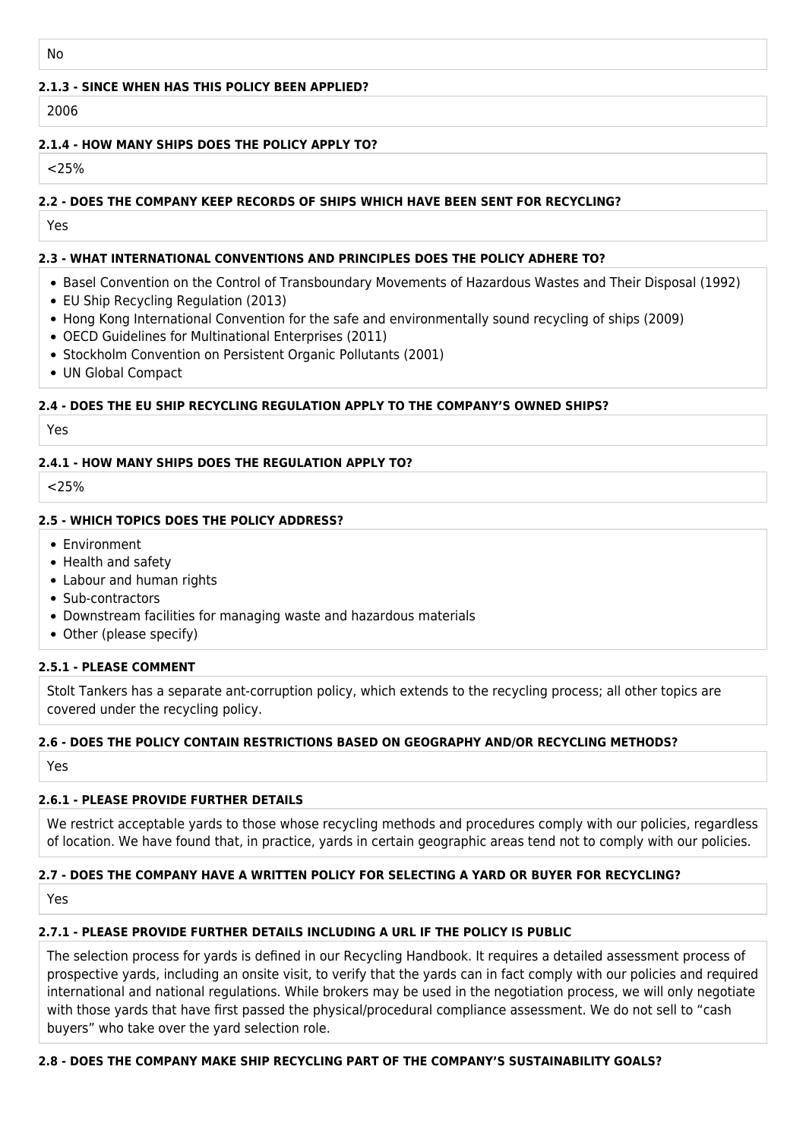# **2.1.3 - SINCE WHEN HAS THIS POLICY BEEN APPLIED?**

2006

# **2.1.4 - HOW MANY SHIPS DOES THE POLICY APPLY TO?**

 $25%$ 

# **2.2 - DOES THE COMPANY KEEP RECORDS OF SHIPS WHICH HAVE BEEN SENT FOR RECYCLING?**

Yes

# **2.3 - WHAT INTERNATIONAL CONVENTIONS AND PRINCIPLES DOES THE POLICY ADHERE TO?**

- Basel Convention on the Control of Transboundary Movements of Hazardous Wastes and Their Disposal (1992)
- EU Ship Recycling Regulation (2013)
- Hong Kong International Convention for the safe and environmentally sound recycling of ships (2009)
- OECD Guidelines for Multinational Enterprises (2011)
- Stockholm Convention on Persistent Organic Pollutants (2001)
- UN Global Compact

# **2.4 - DOES THE EU SHIP RECYCLING REGULATION APPLY TO THE COMPANY'S OWNED SHIPS?**

Yes

# **2.4.1 - HOW MANY SHIPS DOES THE REGULATION APPLY TO?**

 $25%$ 

# **2.5 - WHICH TOPICS DOES THE POLICY ADDRESS?**

- Environment
- Health and safety
- Labour and human rights
- Sub-contractors
- Downstream facilities for managing waste and hazardous materials
- Other (please specify)

# **2.5.1 - PLEASE COMMENT**

Stolt Tankers has a separate ant-corruption policy, which extends to the recycling process; all other topics are covered under the recycling policy.

# **2.6 - DOES THE POLICY CONTAIN RESTRICTIONS BASED ON GEOGRAPHY AND/OR RECYCLING METHODS?**

Yes

# **2.6.1 - PLEASE PROVIDE FURTHER DETAILS**

We restrict acceptable yards to those whose recycling methods and procedures comply with our policies, regardless of location. We have found that, in practice, yards in certain geographic areas tend not to comply with our policies.

# **2.7 - DOES THE COMPANY HAVE A WRITTEN POLICY FOR SELECTING A YARD OR BUYER FOR RECYCLING?**

Yes

# **2.7.1 - PLEASE PROVIDE FURTHER DETAILS INCLUDING A URL IF THE POLICY IS PUBLIC**

The selection process for yards is defined in our Recycling Handbook. It requires a detailed assessment process of prospective yards, including an onsite visit, to verify that the yards can in fact comply with our policies and required international and national regulations. While brokers may be used in the negotiation process, we will only negotiate with those yards that have first passed the physical/procedural compliance assessment. We do not sell to "cash buyers" who take over the yard selection role.

# **2.8 - DOES THE COMPANY MAKE SHIP RECYCLING PART OF THE COMPANY'S SUSTAINABILITY GOALS?**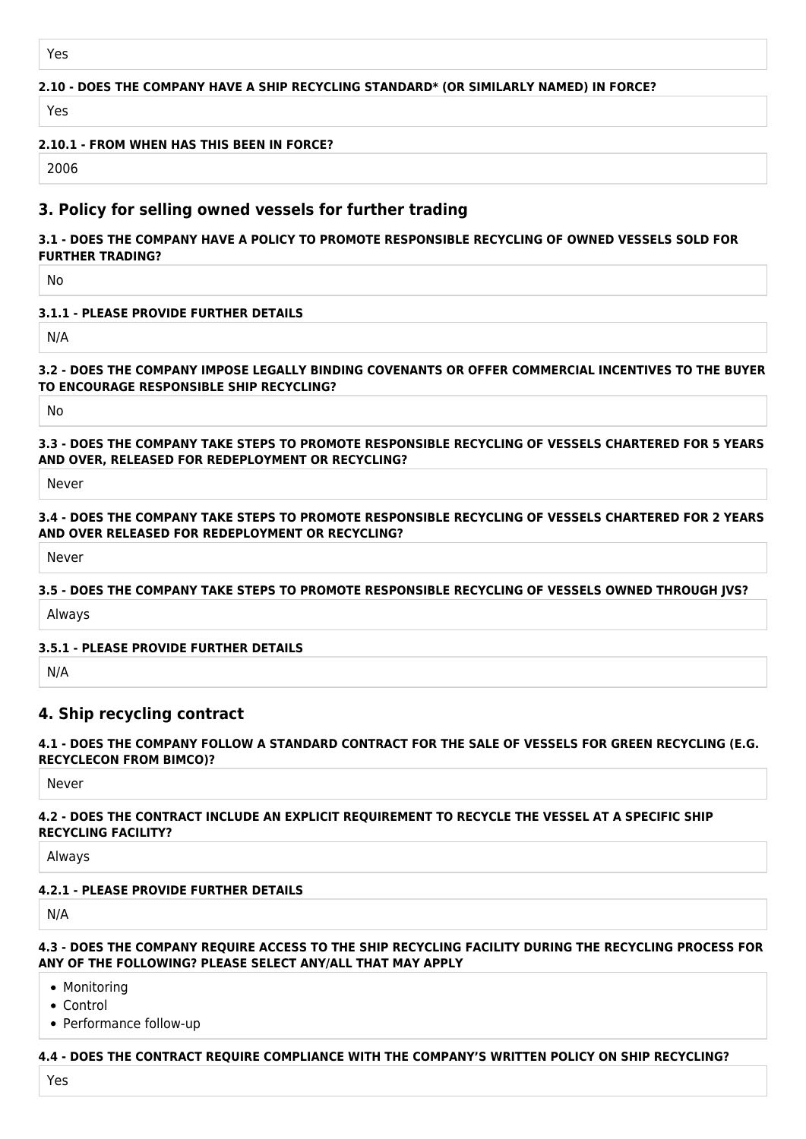# **2.10 - DOES THE COMPANY HAVE A SHIP RECYCLING STANDARD\* (OR SIMILARLY NAMED) IN FORCE?**

Yes

# **2.10.1 - FROM WHEN HAS THIS BEEN IN FORCE?**

2006

# **3. Policy for selling owned vessels for further trading**

# **3.1 - DOES THE COMPANY HAVE A POLICY TO PROMOTE RESPONSIBLE RECYCLING OF OWNED VESSELS SOLD FOR FURTHER TRADING?**

No

# **3.1.1 - PLEASE PROVIDE FURTHER DETAILS**

N/A

# **3.2 - DOES THE COMPANY IMPOSE LEGALLY BINDING COVENANTS OR OFFER COMMERCIAL INCENTIVES TO THE BUYER TO ENCOURAGE RESPONSIBLE SHIP RECYCLING?**

No

# **3.3 - DOES THE COMPANY TAKE STEPS TO PROMOTE RESPONSIBLE RECYCLING OF VESSELS CHARTERED FOR 5 YEARS AND OVER, RELEASED FOR REDEPLOYMENT OR RECYCLING?**

Never

### **3.4 - DOES THE COMPANY TAKE STEPS TO PROMOTE RESPONSIBLE RECYCLING OF VESSELS CHARTERED FOR 2 YEARS AND OVER RELEASED FOR REDEPLOYMENT OR RECYCLING?**

Never

# **3.5 - DOES THE COMPANY TAKE STEPS TO PROMOTE RESPONSIBLE RECYCLING OF VESSELS OWNED THROUGH JVS?**

Always

# **3.5.1 - PLEASE PROVIDE FURTHER DETAILS**

N/A

# **4. Ship recycling contract**

#### **4.1 - DOES THE COMPANY FOLLOW A STANDARD CONTRACT FOR THE SALE OF VESSELS FOR GREEN RECYCLING (E.G. RECYCLECON FROM BIMCO)?**

Never

# **4.2 - DOES THE CONTRACT INCLUDE AN EXPLICIT REQUIREMENT TO RECYCLE THE VESSEL AT A SPECIFIC SHIP RECYCLING FACILITY?**

Always

# **4.2.1 - PLEASE PROVIDE FURTHER DETAILS**

N/A

#### **4.3 - DOES THE COMPANY REQUIRE ACCESS TO THE SHIP RECYCLING FACILITY DURING THE RECYCLING PROCESS FOR ANY OF THE FOLLOWING? PLEASE SELECT ANY/ALL THAT MAY APPLY**

- Monitoring
- Control
- Performance follow-up

#### **4.4 - DOES THE CONTRACT REQUIRE COMPLIANCE WITH THE COMPANY'S WRITTEN POLICY ON SHIP RECYCLING?**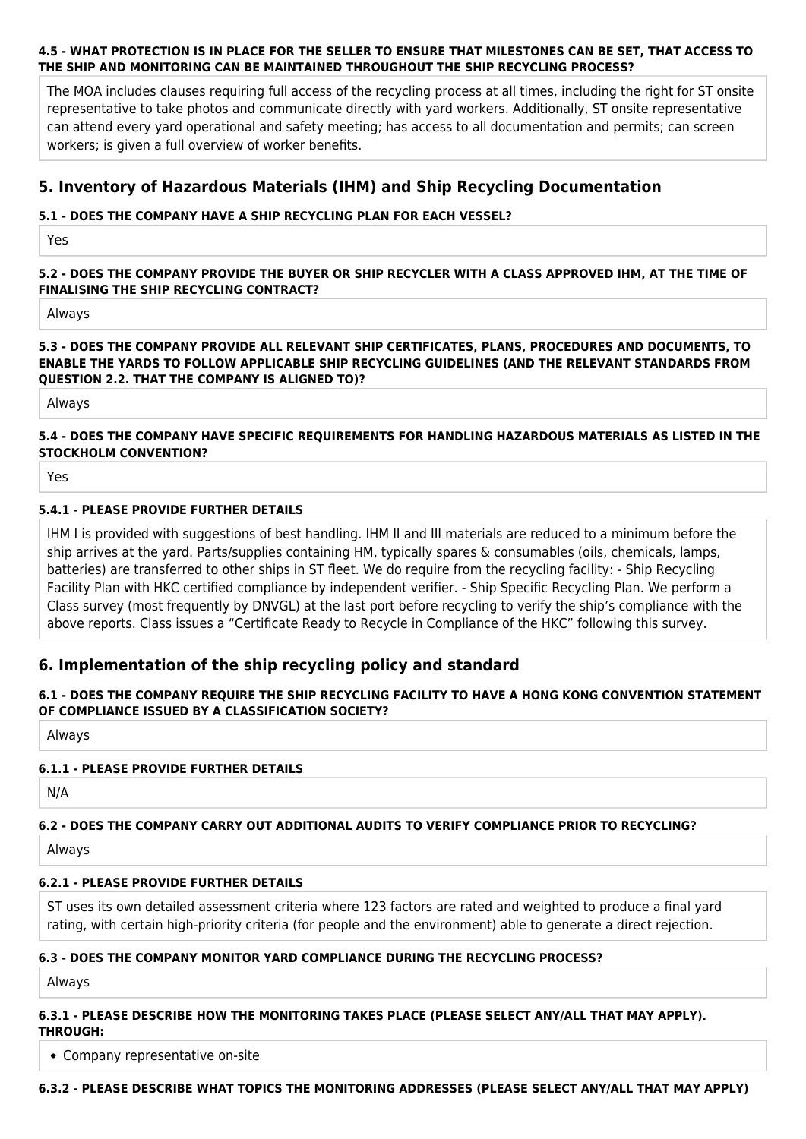### **4.5 - WHAT PROTECTION IS IN PLACE FOR THE SELLER TO ENSURE THAT MILESTONES CAN BE SET, THAT ACCESS TO THE SHIP AND MONITORING CAN BE MAINTAINED THROUGHOUT THE SHIP RECYCLING PROCESS?**

The MOA includes clauses requiring full access of the recycling process at all times, including the right for ST onsite representative to take photos and communicate directly with yard workers. Additionally, ST onsite representative can attend every yard operational and safety meeting; has access to all documentation and permits; can screen workers; is given a full overview of worker benefits.

# **5. Inventory of Hazardous Materials (IHM) and Ship Recycling Documentation**

# **5.1 - DOES THE COMPANY HAVE A SHIP RECYCLING PLAN FOR EACH VESSEL?**

Yes

# **5.2 - DOES THE COMPANY PROVIDE THE BUYER OR SHIP RECYCLER WITH A CLASS APPROVED IHM, AT THE TIME OF FINALISING THE SHIP RECYCLING CONTRACT?**

Always

# **5.3 - DOES THE COMPANY PROVIDE ALL RELEVANT SHIP CERTIFICATES, PLANS, PROCEDURES AND DOCUMENTS, TO ENABLE THE YARDS TO FOLLOW APPLICABLE SHIP RECYCLING GUIDELINES (AND THE RELEVANT STANDARDS FROM QUESTION 2.2. THAT THE COMPANY IS ALIGNED TO)?**

Always

# **5.4 - DOES THE COMPANY HAVE SPECIFIC REQUIREMENTS FOR HANDLING HAZARDOUS MATERIALS AS LISTED IN THE STOCKHOLM CONVENTION?**

Yes

# **5.4.1 - PLEASE PROVIDE FURTHER DETAILS**

IHM I is provided with suggestions of best handling. IHM II and III materials are reduced to a minimum before the ship arrives at the yard. Parts/supplies containing HM, typically spares & consumables (oils, chemicals, lamps, batteries) are transferred to other ships in ST fleet. We do require from the recycling facility: - Ship Recycling Facility Plan with HKC certified compliance by independent verifier. - Ship Specific Recycling Plan. We perform a Class survey (most frequently by DNVGL) at the last port before recycling to verify the ship's compliance with the above reports. Class issues a "Certificate Ready to Recycle in Compliance of the HKC" following this survey.

# **6. Implementation of the ship recycling policy and standard**

# **6.1 - DOES THE COMPANY REQUIRE THE SHIP RECYCLING FACILITY TO HAVE A HONG KONG CONVENTION STATEMENT OF COMPLIANCE ISSUED BY A CLASSIFICATION SOCIETY?**

Always

# **6.1.1 - PLEASE PROVIDE FURTHER DETAILS**

N/A

# **6.2 - DOES THE COMPANY CARRY OUT ADDITIONAL AUDITS TO VERIFY COMPLIANCE PRIOR TO RECYCLING?**

Always

# **6.2.1 - PLEASE PROVIDE FURTHER DETAILS**

ST uses its own detailed assessment criteria where 123 factors are rated and weighted to produce a final yard rating, with certain high-priority criteria (for people and the environment) able to generate a direct rejection.

# **6.3 - DOES THE COMPANY MONITOR YARD COMPLIANCE DURING THE RECYCLING PROCESS?**

Always

# **6.3.1 - PLEASE DESCRIBE HOW THE MONITORING TAKES PLACE (PLEASE SELECT ANY/ALL THAT MAY APPLY). THROUGH:**

Company representative on-site

# **6.3.2 - PLEASE DESCRIBE WHAT TOPICS THE MONITORING ADDRESSES (PLEASE SELECT ANY/ALL THAT MAY APPLY)**